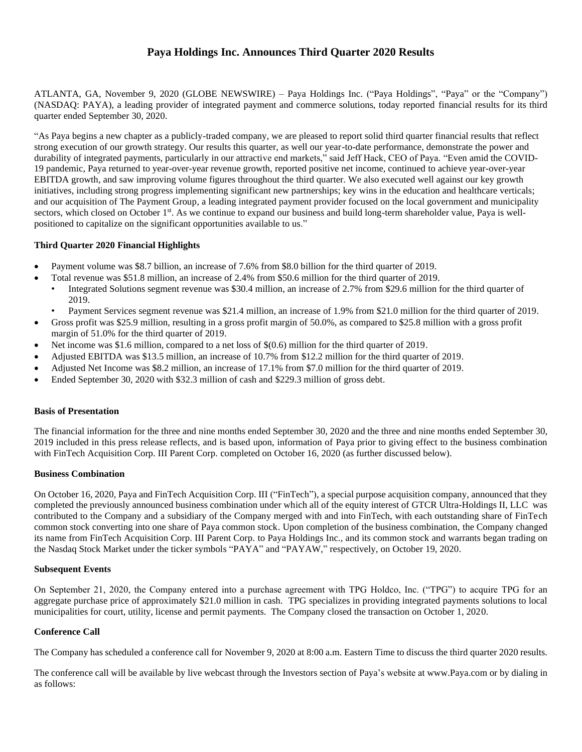# **Paya Holdings Inc. Announces Third Quarter 2020 Results**

ATLANTA, GA, November 9, 2020 (GLOBE NEWSWIRE) – Paya Holdings Inc. ("Paya Holdings", "Paya" or the "Company") (NASDAQ: PAYA), a leading provider of integrated payment and commerce solutions, today reported financial results for its third quarter ended September 30, 2020.

"As Paya begins a new chapter as a publicly-traded company, we are pleased to report solid third quarter financial results that reflect strong execution of our growth strategy. Our results this quarter, as well our year-to-date performance, demonstrate the power and durability of integrated payments, particularly in our attractive end markets," said Jeff Hack, CEO of Paya. "Even amid the COVID-19 pandemic, Paya returned to year-over-year revenue growth, reported positive net income, continued to achieve year-over-year EBITDA growth, and saw improving volume figures throughout the third quarter. We also executed well against our key growth initiatives, including strong progress implementing significant new partnerships; key wins in the education and healthcare verticals; and our acquisition of The Payment Group, a leading integrated payment provider focused on the local government and municipality sectors, which closed on October 1st. As we continue to expand our business and build long-term shareholder value, Paya is wellpositioned to capitalize on the significant opportunities available to us."

### **Third Quarter 2020 Financial Highlights**

- Payment volume was \$8.7 billion, an increase of 7.6% from \$8.0 billion for the third quarter of 2019.
- Total revenue was \$51.8 million, an increase of 2.4% from \$50.6 million for the third quarter of 2019.
- Integrated Solutions segment revenue was \$30.4 million, an increase of 2.7% from \$29.6 million for the third quarter of 2019.
- Payment Services segment revenue was \$21.4 million, an increase of 1.9% from \$21.0 million for the third quarter of 2019.
- Gross profit was \$25.9 million, resulting in a gross profit margin of 50.0%, as compared to \$25.8 million with a gross profit margin of 51.0% for the third quarter of 2019.
- Net income was \$1.6 million, compared to a net loss of \$(0.6) million for the third quarter of 2019.
- Adjusted EBITDA was \$13.5 million, an increase of 10.7% from \$12.2 million for the third quarter of 2019.
- Adjusted Net Income was \$8.2 million, an increase of 17.1% from \$7.0 million for the third quarter of 2019.
- Ended September 30, 2020 with \$32.3 million of cash and \$229.3 million of gross debt.

### **Basis of Presentation**

The financial information for the three and nine months ended September 30, 2020 and the three and nine months ended September 30, 2019 included in this press release reflects, and is based upon, information of Paya prior to giving effect to the business combination with FinTech Acquisition Corp. III Parent Corp. completed on October 16, 2020 (as further discussed below).

### **Business Combination**

On October 16, 2020, Paya and FinTech Acquisition Corp. III ("FinTech"), a special purpose acquisition company, announced that they completed the previously announced business combination under which all of the equity interest of GTCR Ultra-Holdings II, LLC was contributed to the Company and a subsidiary of the Company merged with and into FinTech, with each outstanding share of FinTech common stock converting into one share of Paya common stock. Upon completion of the business combination, the Company changed its name from FinTech Acquisition Corp. III Parent Corp. to Paya Holdings Inc., and its common stock and warrants began trading on the Nasdaq Stock Market under the ticker symbols "PAYA" and "PAYAW," respectively, on October 19, 2020.

### **Subsequent Events**

On September 21, 2020, the Company entered into a purchase agreement with TPG Holdco, Inc. ("TPG") to acquire TPG for an aggregate purchase price of approximately \$21.0 million in cash. TPG specializes in providing integrated payments solutions to local municipalities for court, utility, license and permit payments. The Company closed the transaction on October 1, 2020.

### **Conference Call**

The Company has scheduled a conference call for November 9, 2020 at 8:00 a.m. Eastern Time to discuss the third quarter 2020 results.

The conference call will be available by live webcast through the Investors section of Paya's website at www.Paya.com or by dialing in as follows: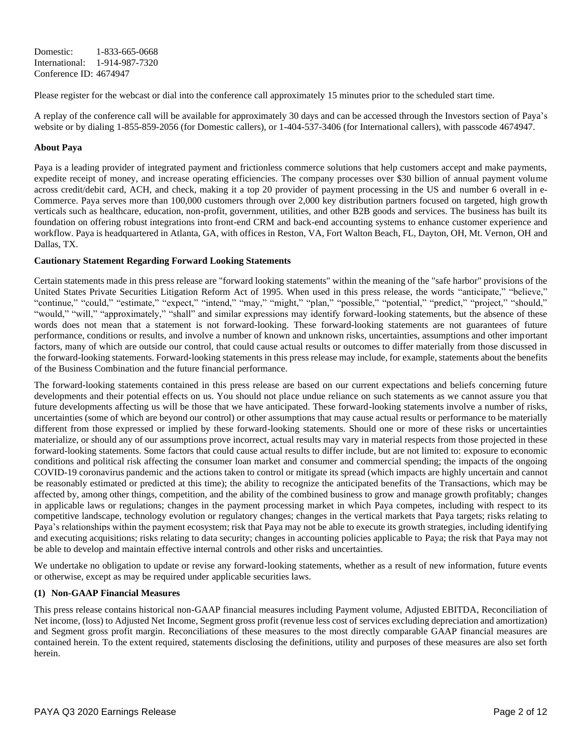Domestic: 1-833-665-0668 International: 1-914-987-7320 Conference ID: 4674947

Please register for the webcast or dial into the conference call approximately 15 minutes prior to the scheduled start time.

A replay of the conference call will be available for approximately 30 days and can be accessed through the Investors section of Paya's website or by dialing 1-855-859-2056 (for Domestic callers), or 1-404-537-3406 (for International callers), with passcode 4674947.

### **About Paya**

Paya is a leading provider of integrated payment and frictionless commerce solutions that help customers accept and make payments, expedite receipt of money, and increase operating efficiencies. The company processes over \$30 billion of annual payment volume across credit/debit card, ACH, and check, making it a top 20 provider of payment processing in the US and number 6 overall in e-Commerce. Paya serves more than 100,000 customers through over 2,000 key distribution partners focused on targeted, high growth verticals such as healthcare, education, non-profit, government, utilities, and other B2B goods and services. The business has built its foundation on offering robust integrations into front-end CRM and back-end accounting systems to enhance customer experience and workflow. Paya is headquartered in Atlanta, GA, with offices in Reston, VA, Fort Walton Beach, FL, Dayton, OH, Mt. Vernon, OH and Dallas, TX.

# **Cautionary Statement Regarding Forward Looking Statements**

Certain statements made in this press release are "forward looking statements" within the meaning of the "safe harbor" provisions of the United States Private Securities Litigation Reform Act of 1995. When used in this press release, the words "anticipate," "believe," "continue," "could," "estimate," "expect," "intend," "may," "might," "plan," "possible," "potential," "predict," "project," "should," "would," "will," "approximately," "shall" and similar expressions may identify forward-looking statements, but the absence of these words does not mean that a statement is not forward-looking. These forward-looking statements are not guarantees of future performance, conditions or results, and involve a number of known and unknown risks, uncertainties, assumptions and other important factors, many of which are outside our control, that could cause actual results or outcomes to differ materially from those discussed in the forward-looking statements. Forward-looking statements in this press release may include, for example, statements about the benefits of the Business Combination and the future financial performance.

The forward-looking statements contained in this press release are based on our current expectations and beliefs concerning future developments and their potential effects on us. You should not place undue reliance on such statements as we cannot assure you that future developments affecting us will be those that we have anticipated. These forward-looking statements involve a number of risks, uncertainties (some of which are beyond our control) or other assumptions that may cause actual results or performance to be materially different from those expressed or implied by these forward-looking statements. Should one or more of these risks or uncertainties materialize, or should any of our assumptions prove incorrect, actual results may vary in material respects from those projected in these forward-looking statements. Some factors that could cause actual results to differ include, but are not limited to: exposure to economic conditions and political risk affecting the consumer loan market and consumer and commercial spending; the impacts of the ongoing COVID-19 coronavirus pandemic and the actions taken to control or mitigate its spread (which impacts are highly uncertain and cannot be reasonably estimated or predicted at this time); the ability to recognize the anticipated benefits of the Transactions, which may be affected by, among other things, competition, and the ability of the combined business to grow and manage growth profitably; changes in applicable laws or regulations; changes in the payment processing market in which Paya competes, including with respect to its competitive landscape, technology evolution or regulatory changes; changes in the vertical markets that Paya targets; risks relating to Paya's relationships within the payment ecosystem; risk that Paya may not be able to execute its growth strategies, including identifying and executing acquisitions; risks relating to data security; changes in accounting policies applicable to Paya; the risk that Paya may not be able to develop and maintain effective internal controls and other risks and uncertainties.

We undertake no obligation to update or revise any forward-looking statements, whether as a result of new information, future events or otherwise, except as may be required under applicable securities laws.

### **(1) Non-GAAP Financial Measures**

This press release contains historical non-GAAP financial measures including Payment volume, Adjusted EBITDA, Reconciliation of Net income, (loss) to Adjusted Net Income, Segment gross profit (revenue less cost of services excluding depreciation and amortization) and Segment gross profit margin. Reconciliations of these measures to the most directly comparable GAAP financial measures are contained herein. To the extent required, statements disclosing the definitions, utility and purposes of these measures are also set forth herein.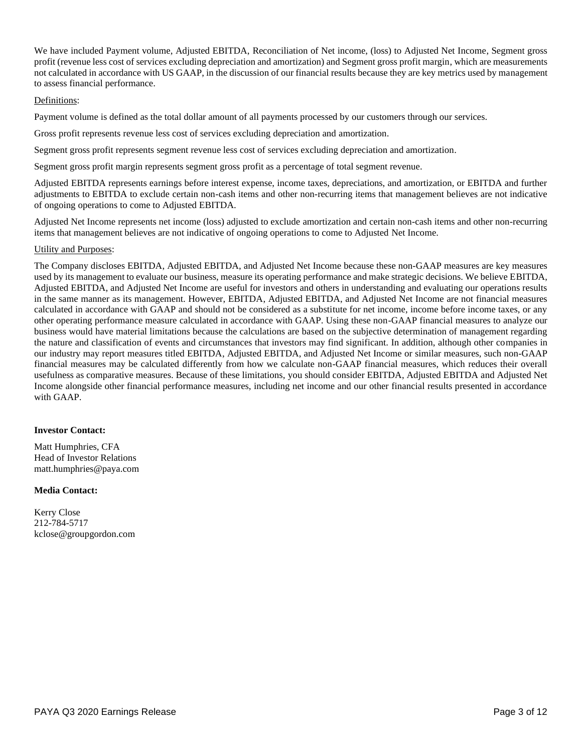We have included Payment volume, Adjusted EBITDA, Reconciliation of Net income, (loss) to Adjusted Net Income, Segment gross profit (revenue less cost of services excluding depreciation and amortization) and Segment gross profit margin, which are measurements not calculated in accordance with US GAAP, in the discussion of our financial results because they are key metrics used by management to assess financial performance.

#### Definitions:

Payment volume is defined as the total dollar amount of all payments processed by our customers through our services.

Gross profit represents revenue less cost of services excluding depreciation and amortization.

Segment gross profit represents segment revenue less cost of services excluding depreciation and amortization.

Segment gross profit margin represents segment gross profit as a percentage of total segment revenue.

Adjusted EBITDA represents earnings before interest expense, income taxes, depreciations, and amortization, or EBITDA and further adjustments to EBITDA to exclude certain non-cash items and other non-recurring items that management believes are not indicative of ongoing operations to come to Adjusted EBITDA.

Adjusted Net Income represents net income (loss) adjusted to exclude amortization and certain non-cash items and other non-recurring items that management believes are not indicative of ongoing operations to come to Adjusted Net Income.

### Utility and Purposes:

The Company discloses EBITDA, Adjusted EBITDA, and Adjusted Net Income because these non-GAAP measures are key measures used by its management to evaluate our business, measure its operating performance and make strategic decisions. We believe EBITDA, Adjusted EBITDA, and Adjusted Net Income are useful for investors and others in understanding and evaluating our operations results in the same manner as its management. However, EBITDA, Adjusted EBITDA, and Adjusted Net Income are not financial measures calculated in accordance with GAAP and should not be considered as a substitute for net income, income before income taxes, or any other operating performance measure calculated in accordance with GAAP. Using these non-GAAP financial measures to analyze our business would have material limitations because the calculations are based on the subjective determination of management regarding the nature and classification of events and circumstances that investors may find significant. In addition, although other companies in our industry may report measures titled EBITDA, Adjusted EBITDA, and Adjusted Net Income or similar measures, such non-GAAP financial measures may be calculated differently from how we calculate non-GAAP financial measures, which reduces their overall usefulness as comparative measures. Because of these limitations, you should consider EBITDA, Adjusted EBITDA and Adjusted Net Income alongside other financial performance measures, including net income and our other financial results presented in accordance with GAAP.

### **Investor Contact:**

Matt Humphries, CFA Head of Investor Relations matt.humphries@paya.com

### **Media Contact:**

Kerry Close 212-784-5717 [kclose@groupgordon.com](mailto:kclose@groupgordon.com)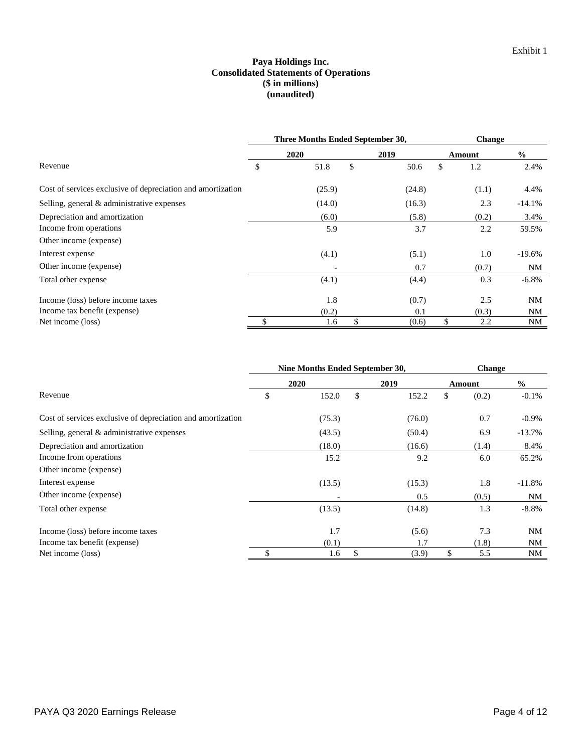### **Paya Holdings Inc. Consolidated Statements of Operations (\$ in millions) (unaudited)**

|                                                             | Three Months Ended September 30, | <b>Change</b> |    |        |               |
|-------------------------------------------------------------|----------------------------------|---------------|----|--------|---------------|
|                                                             | 2020                             | 2019          |    | Amount | $\frac{0}{0}$ |
| Revenue                                                     | \$<br>51.8                       | \$<br>50.6    | \$ | 1.2    | 2.4%          |
| Cost of services exclusive of depreciation and amortization | (25.9)                           | (24.8)        |    | (1.1)  | 4.4%          |
| Selling, general $\&$ administrative expenses               | (14.0)                           | (16.3)        |    | 2.3    | $-14.1%$      |
| Depreciation and amortization                               | (6.0)                            | (5.8)         |    | (0.2)  | 3.4%          |
| Income from operations                                      | 5.9                              | 3.7           |    | 2.2    | 59.5%         |
| Other income (expense)                                      |                                  |               |    |        |               |
| Interest expense                                            | (4.1)                            | (5.1)         |    | 1.0    | $-19.6%$      |
| Other income (expense)                                      |                                  | 0.7           |    | (0.7)  | NM            |
| Total other expense                                         | (4.1)                            | (4.4)         |    | 0.3    | $-6.8\%$      |
| Income (loss) before income taxes                           | 1.8                              | (0.7)         |    | 2.5    | NM            |
| Income tax benefit (expense)                                | (0.2)                            | 0.1           |    | (0.3)  | NM            |
| Net income (loss)                                           | 1.6                              | (0.6)         | \$ | 2.2    | <b>NM</b>     |

|                                                             | Nine Months Ended September 30, | <b>Change</b> |    |        |               |
|-------------------------------------------------------------|---------------------------------|---------------|----|--------|---------------|
|                                                             | 2020                            | 2019          |    | Amount | $\frac{0}{0}$ |
| Revenue                                                     | \$<br>152.0                     | \$<br>152.2   | \$ | (0.2)  | $-0.1%$       |
| Cost of services exclusive of depreciation and amortization | (75.3)                          | (76.0)        |    | 0.7    | $-0.9\%$      |
| Selling, general & administrative expenses                  | (43.5)                          | (50.4)        |    | 6.9    | $-13.7%$      |
| Depreciation and amortization                               | (18.0)                          | (16.6)        |    | (1.4)  | 8.4%          |
| Income from operations                                      | 15.2                            | 9.2           |    | 6.0    | 65.2%         |
| Other income (expense)                                      |                                 |               |    |        |               |
| Interest expense                                            | (13.5)                          | (15.3)        |    | 1.8    | $-11.8%$      |
| Other income (expense)                                      |                                 | 0.5           |    | (0.5)  | NM            |
| Total other expense                                         | (13.5)                          | (14.8)        |    | 1.3    | $-8.8%$       |
| Income (loss) before income taxes                           | 1.7                             | (5.6)         |    | 7.3    | NM            |
| Income tax benefit (expense)                                | (0.1)                           | 1.7           |    | (1.8)  | NM            |
| Net income (loss)                                           | 1.6                             | \$<br>(3.9)   | \$ | 5.5    | NM            |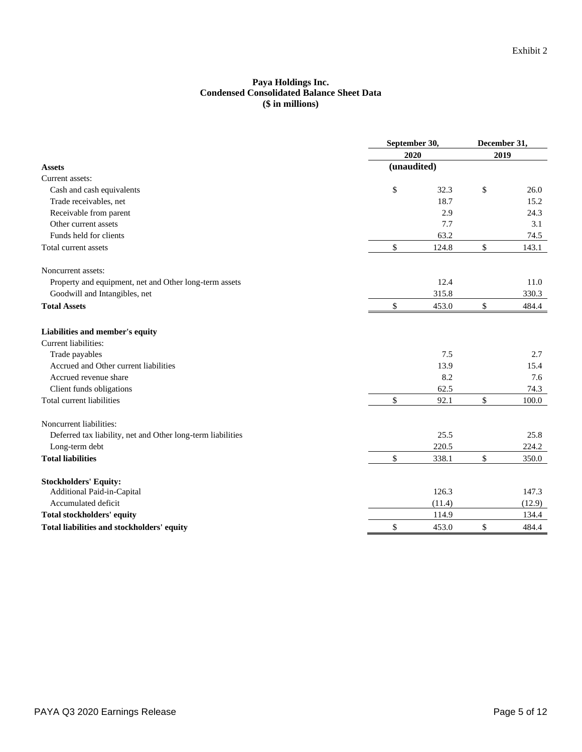#### **Paya Holdings Inc. Condensed Consolidated Balance Sheet Data (\$ in millions)**

|                                                             | September 30, |        | December 31, |        |  |
|-------------------------------------------------------------|---------------|--------|--------------|--------|--|
|                                                             | 2020          |        | 2019         |        |  |
| <b>Assets</b>                                               | (unaudited)   |        |              |        |  |
| Current assets:                                             |               |        |              |        |  |
| Cash and cash equivalents                                   | \$            | 32.3   | \$           | 26.0   |  |
| Trade receivables, net                                      |               | 18.7   |              | 15.2   |  |
| Receivable from parent                                      |               | 2.9    |              | 24.3   |  |
| Other current assets                                        |               | 7.7    |              | 3.1    |  |
| Funds held for clients                                      |               | 63.2   |              | 74.5   |  |
| Total current assets                                        | \$            | 124.8  | \$           | 143.1  |  |
| Noncurrent assets:                                          |               |        |              |        |  |
| Property and equipment, net and Other long-term assets      |               | 12.4   |              | 11.0   |  |
| Goodwill and Intangibles, net                               |               | 315.8  |              | 330.3  |  |
| <b>Total Assets</b>                                         | \$            | 453.0  | \$           | 484.4  |  |
| Liabilities and member's equity                             |               |        |              |        |  |
| Current liabilities:                                        |               |        |              |        |  |
| Trade payables                                              |               | 7.5    |              | 2.7    |  |
| Accrued and Other current liabilities                       |               | 13.9   |              | 15.4   |  |
| Accrued revenue share                                       |               | 8.2    |              | 7.6    |  |
| Client funds obligations                                    |               | 62.5   |              | 74.3   |  |
| Total current liabilities                                   | \$            | 92.1   | \$           | 100.0  |  |
| Noncurrent liabilities:                                     |               |        |              |        |  |
| Deferred tax liability, net and Other long-term liabilities |               | 25.5   |              | 25.8   |  |
| Long-term debt                                              |               | 220.5  |              | 224.2  |  |
| <b>Total liabilities</b>                                    | \$            | 338.1  | \$           | 350.0  |  |
| <b>Stockholders' Equity:</b>                                |               |        |              |        |  |
| Additional Paid-in-Capital                                  |               | 126.3  |              | 147.3  |  |
| Accumulated deficit                                         |               | (11.4) |              | (12.9) |  |
| <b>Total stockholders' equity</b>                           |               | 114.9  |              | 134.4  |  |
| Total liabilities and stockholders' equity                  | \$            | 453.0  | \$           | 484.4  |  |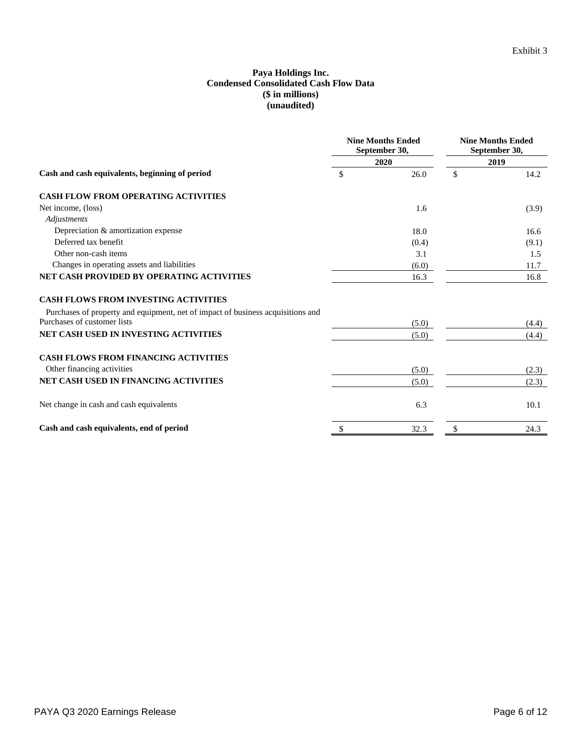### **Paya Holdings Inc. Condensed Consolidated Cash Flow Data (\$ in millions) (unaudited)**

|                                                                                 |     | <b>Nine Months Ended</b><br>September 30, | <b>Nine Months Ended</b><br>September 30,<br>2019 |       |
|---------------------------------------------------------------------------------|-----|-------------------------------------------|---------------------------------------------------|-------|
|                                                                                 |     | 2020                                      |                                                   |       |
| Cash and cash equivalents, beginning of period                                  | \$  | 26.0                                      | $\mathcal{S}$                                     | 14.2  |
| <b>CASH FLOW FROM OPERATING ACTIVITIES</b>                                      |     |                                           |                                                   |       |
| Net income, (loss)                                                              |     | 1.6                                       |                                                   | (3.9) |
| Adjustments                                                                     |     |                                           |                                                   |       |
| Depreciation & amortization expense                                             |     | 18.0                                      |                                                   | 16.6  |
| Deferred tax benefit                                                            |     | (0.4)                                     |                                                   | (9.1) |
| Other non-cash items                                                            |     | 3.1                                       |                                                   | 1.5   |
| Changes in operating assets and liabilities                                     |     | (6.0)                                     |                                                   | 11.7  |
| NET CASH PROVIDED BY OPERATING ACTIVITIES                                       |     | 16.3                                      |                                                   | 16.8  |
| <b>CASH FLOWS FROM INVESTING ACTIVITIES</b>                                     |     |                                           |                                                   |       |
| Purchases of property and equipment, net of impact of business acquisitions and |     |                                           |                                                   |       |
| Purchases of customer lists                                                     |     | (5.0)                                     |                                                   | (4.4) |
| <b>NET CASH USED IN INVESTING ACTIVITIES</b>                                    |     | (5.0)                                     |                                                   | (4.4) |
| <b>CASH FLOWS FROM FINANCING ACTIVITIES</b>                                     |     |                                           |                                                   |       |
| Other financing activities                                                      |     | (5.0)                                     |                                                   | (2.3) |
| <b>NET CASH USED IN FINANCING ACTIVITIES</b>                                    |     | (5.0)                                     |                                                   | (2.3) |
| Net change in cash and cash equivalents                                         |     | 6.3                                       |                                                   | 10.1  |
| Cash and cash equivalents, end of period                                        | \$. | 32.3                                      | S                                                 | 24.3  |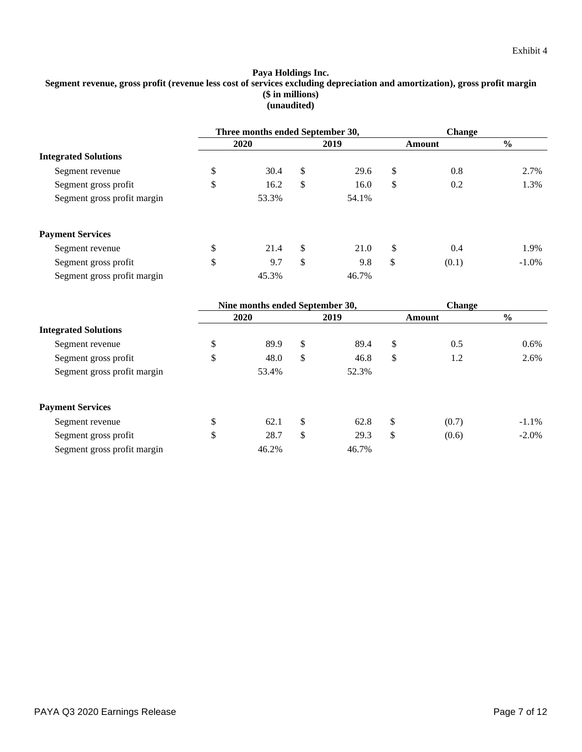#### **Paya Holdings Inc. Segment revenue, gross profit (revenue less cost of services excluding depreciation and amortization), gross profit margin (\$ in millions) (unaudited)**

|                             | Three months ended September 30, |    |       |    | <b>Change</b> |               |  |
|-----------------------------|----------------------------------|----|-------|----|---------------|---------------|--|
|                             | 2020                             |    | 2019  |    | Amount        | $\frac{0}{0}$ |  |
| <b>Integrated Solutions</b> |                                  |    |       |    |               |               |  |
| Segment revenue             | \$<br>30.4                       | \$ | 29.6  | \$ | 0.8           | 2.7%          |  |
| Segment gross profit        | \$<br>16.2                       | \$ | 16.0  | \$ | 0.2           | 1.3%          |  |
| Segment gross profit margin | 53.3%                            |    | 54.1% |    |               |               |  |
| <b>Payment Services</b>     |                                  |    |       |    |               |               |  |
| Segment revenue             | \$<br>21.4                       | \$ | 21.0  | \$ | 0.4           | 1.9%          |  |
| Segment gross profit        | \$<br>9.7                        | \$ | 9.8   | \$ | (0.1)         | $-1.0\%$      |  |
| Segment gross profit margin | 45.3%                            |    | 46.7% |    |               |               |  |

|                             | Nine months ended September 30, |    |       |    | <b>Change</b> |               |
|-----------------------------|---------------------------------|----|-------|----|---------------|---------------|
|                             | 2020                            |    | 2019  |    | Amount        | $\frac{0}{0}$ |
| <b>Integrated Solutions</b> |                                 |    |       |    |               |               |
| Segment revenue             | \$<br>89.9                      | \$ | 89.4  | \$ | 0.5           | $0.6\%$       |
| Segment gross profit        | \$<br>48.0                      | \$ | 46.8  | \$ | 1.2           | 2.6%          |
| Segment gross profit margin | 53.4%                           |    | 52.3% |    |               |               |
| <b>Payment Services</b>     |                                 |    |       |    |               |               |
| Segment revenue             | \$<br>62.1                      | \$ | 62.8  | \$ | (0.7)         | $-1.1\%$      |
| Segment gross profit        | \$<br>28.7                      | \$ | 29.3  | \$ | (0.6)         | $-2.0\%$      |
| Segment gross profit margin | 46.2%                           |    | 46.7% |    |               |               |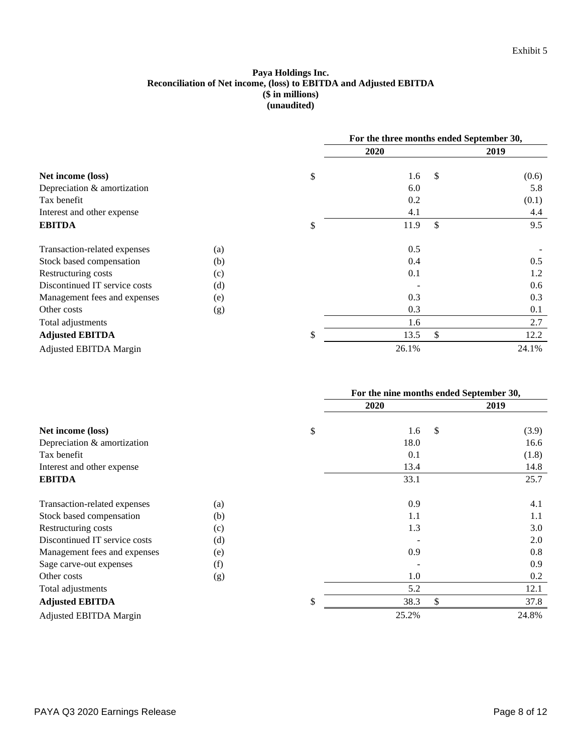# **Paya Holdings Inc. Reconciliation of Net income, (loss) to EBITDA and Adjusted EBITDA (\$ in millions) (unaudited)**

|                               |     | For the three months ended September 30, |               |       |
|-------------------------------|-----|------------------------------------------|---------------|-------|
|                               |     | 2020                                     |               | 2019  |
| Net income (loss)             |     | \$<br>1.6                                | $\mathcal{S}$ | (0.6) |
| Depreciation & amortization   |     | 6.0                                      |               | 5.8   |
| Tax benefit                   |     | 0.2                                      |               | (0.1) |
| Interest and other expense    |     | 4.1                                      |               | 4.4   |
| <b>EBITDA</b>                 |     | \$<br>11.9                               | <sup>\$</sup> | 9.5   |
| Transaction-related expenses  | (a) | 0.5                                      |               |       |
| Stock based compensation      | (b) | 0.4                                      |               | 0.5   |
| Restructuring costs           | (c) | 0.1                                      |               | 1.2   |
| Discontinued IT service costs | (d) |                                          |               | 0.6   |
| Management fees and expenses  | (e) | 0.3                                      |               | 0.3   |
| Other costs                   | (g) | 0.3                                      |               | 0.1   |
| Total adjustments             |     | 1.6                                      |               | 2.7   |
| <b>Adjusted EBITDA</b>        |     | \$<br>13.5                               | \$            | 12.2  |
| Adjusted EBITDA Margin        |     | 26.1%                                    |               | 24.1% |

|                               |     | For the nine months ended September 30, |    |       |  |
|-------------------------------|-----|-----------------------------------------|----|-------|--|
|                               |     | <b>2020</b>                             |    | 2019  |  |
| Net income (loss)             |     | \$<br>1.6                               | \$ | (3.9) |  |
| Depreciation & amortization   |     | 18.0                                    |    | 16.6  |  |
| Tax benefit                   |     | 0.1                                     |    | (1.8) |  |
| Interest and other expense    |     | 13.4                                    |    | 14.8  |  |
| <b>EBITDA</b>                 |     | 33.1                                    |    | 25.7  |  |
| Transaction-related expenses  | (a) | 0.9                                     |    | 4.1   |  |
| Stock based compensation      | (b) | 1.1                                     |    | 1.1   |  |
| Restructuring costs           | (c) | 1.3                                     |    | 3.0   |  |
| Discontinued IT service costs | (d) |                                         |    | 2.0   |  |
| Management fees and expenses  | (e) | 0.9                                     |    | 0.8   |  |
| Sage carve-out expenses       | (f) |                                         |    | 0.9   |  |
| Other costs                   | (g) | 1.0                                     |    | 0.2   |  |
| Total adjustments             |     | 5.2                                     |    | 12.1  |  |
| <b>Adjusted EBITDA</b>        |     | \$<br>38.3                              | \$ | 37.8  |  |
| Adjusted EBITDA Margin        |     | 25.2%                                   |    | 24.8% |  |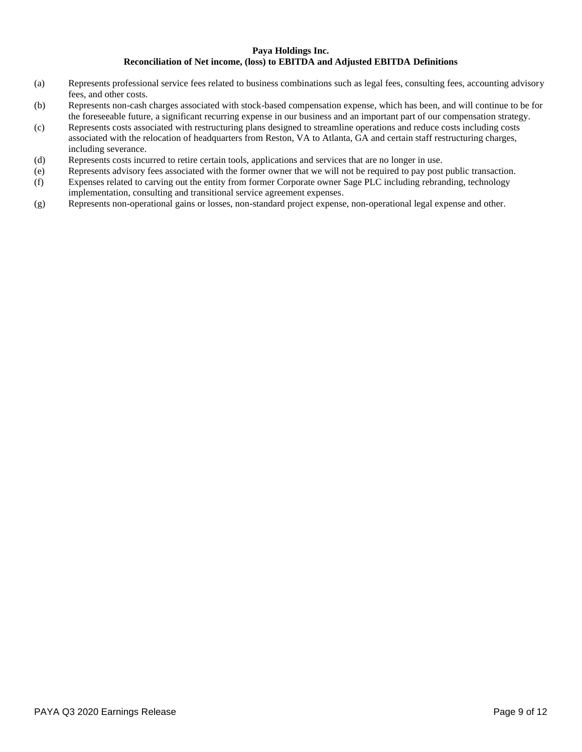#### **Paya Holdings Inc. Reconciliation of Net income, (loss) to EBITDA and Adjusted EBITDA Definitions**

- (a) Represents professional service fees related to business combinations such as legal fees, consulting fees, accounting advisory fees, and other costs.
- (b) Represents non-cash charges associated with stock-based compensation expense, which has been, and will continue to be for the foreseeable future, a significant recurring expense in our business and an important part of our compensation strategy.
- (c) Represents costs associated with restructuring plans designed to streamline operations and reduce costs including costs associated with the relocation of headquarters from Reston, VA to Atlanta, GA and certain staff restructuring charges, including severance.
- (d) Represents costs incurred to retire certain tools, applications and services that are no longer in use.
- (e) Represents advisory fees associated with the former owner that we will not be required to pay post public transaction.
- (f) Expenses related to carving out the entity from former Corporate owner Sage PLC including rebranding, technology implementation, consulting and transitional service agreement expenses.
- (g) Represents non-operational gains or losses, non-standard project expense, non-operational legal expense and other.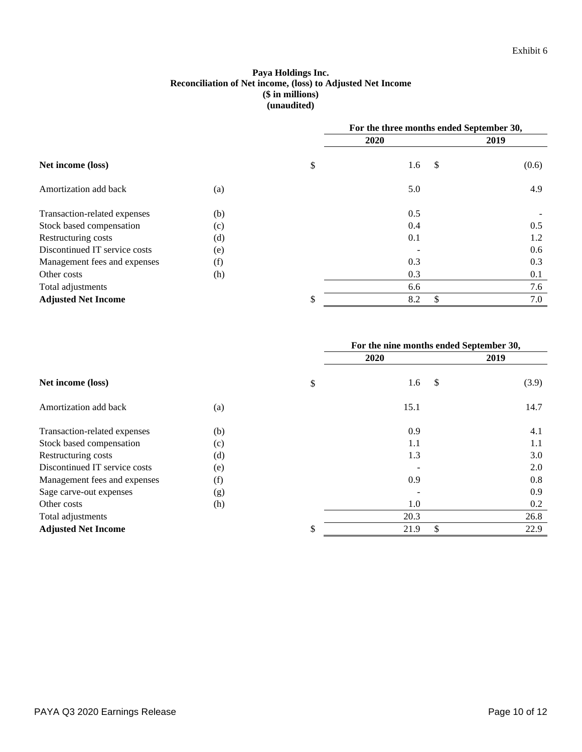# **Paya Holdings Inc. Reconciliation of Net income, (loss) to Adjusted Net Income (\$ in millions) (unaudited)**

|                               |     | For the three months ended September 30, |      |       |
|-------------------------------|-----|------------------------------------------|------|-------|
|                               |     | 2020                                     |      | 2019  |
| Net income (loss)             |     | \$<br>1.6                                | - \$ | (0.6) |
| Amortization add back         | (a) | 5.0                                      |      | 4.9   |
| Transaction-related expenses  | (b) | 0.5                                      |      |       |
| Stock based compensation      | (c) | 0.4                                      |      | 0.5   |
| Restructuring costs           | (d) | 0.1                                      |      | 1.2   |
| Discontinued IT service costs | (e) |                                          |      | 0.6   |
| Management fees and expenses  | (f) | 0.3                                      |      | 0.3   |
| Other costs                   | (h) | 0.3                                      |      | 0.1   |
| Total adjustments             |     | 6.6                                      |      | 7.6   |
| <b>Adjusted Net Income</b>    |     | \$<br>8.2                                | \$   | 7.0   |

|                               |     | For the nine months ended September 30, |               |       |
|-------------------------------|-----|-----------------------------------------|---------------|-------|
|                               |     | 2020                                    |               | 2019  |
| Net income (loss)             |     | \$<br>1.6                               | $\mathcal{S}$ | (3.9) |
| Amortization add back         | (a) | 15.1                                    |               | 14.7  |
| Transaction-related expenses  | (b) | 0.9                                     |               | 4.1   |
| Stock based compensation      | (c) | 1.1                                     |               | 1.1   |
| Restructuring costs           | (d) | 1.3                                     |               | 3.0   |
| Discontinued IT service costs | (e) |                                         |               | 2.0   |
| Management fees and expenses  | (f) | 0.9                                     |               | 0.8   |
| Sage carve-out expenses       | (g) |                                         |               | 0.9   |
| Other costs                   | (h) | 1.0                                     |               | 0.2   |
| Total adjustments             |     | 20.3                                    |               | 26.8  |
| <b>Adjusted Net Income</b>    |     | \$<br>21.9                              | \$            | 22.9  |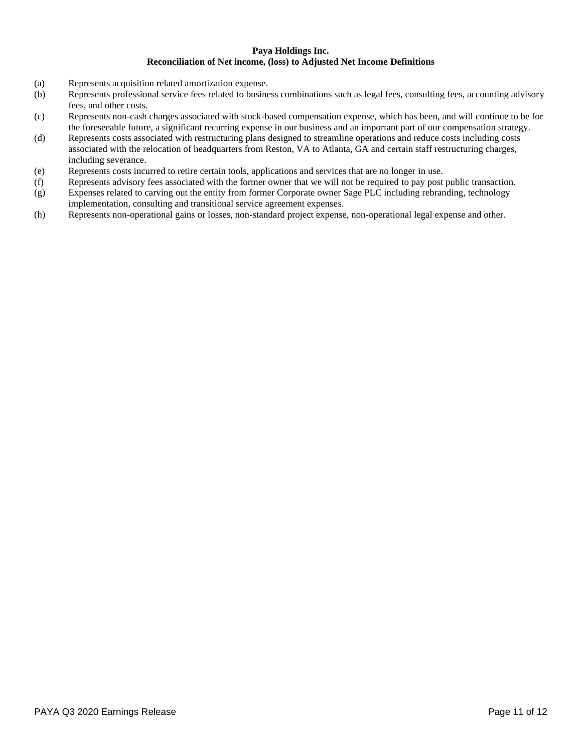#### **Paya Holdings Inc. Reconciliation of Net income, (loss) to Adjusted Net Income Definitions**

- (a) Represents acquisition related amortization expense.
- (b) Represents professional service fees related to business combinations such as legal fees, consulting fees, accounting advisory fees, and other costs.
- (c) Represents non-cash charges associated with stock-based compensation expense, which has been, and will continue to be for the foreseeable future, a significant recurring expense in our business and an important part of our compensation strategy.
- (d) Represents costs associated with restructuring plans designed to streamline operations and reduce costs including costs associated with the relocation of headquarters from Reston, VA to Atlanta, GA and certain staff restructuring charges, including severance.
- (e) Represents costs incurred to retire certain tools, applications and services that are no longer in use.
- (f) Represents advisory fees associated with the former owner that we will not be required to pay post public transaction.
- (g) Expenses related to carving out the entity from former Corporate owner Sage PLC including rebranding, technology implementation, consulting and transitional service agreement expenses.
- (h) Represents non-operational gains or losses, non-standard project expense, non-operational legal expense and other.